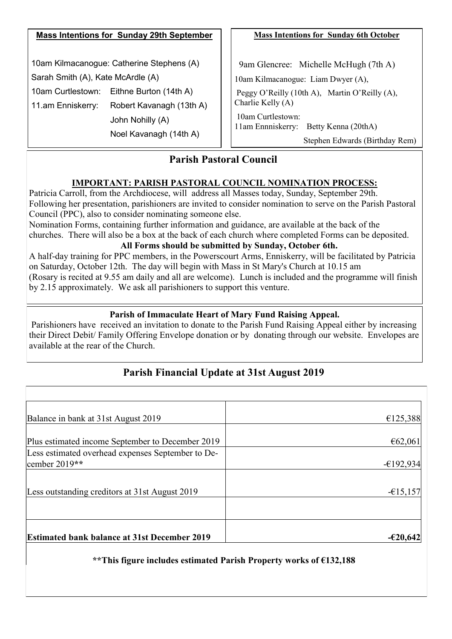| <b>Mass Intentions for Sunday 29th September</b>                            |                                                                                                                                               | <b>Mass Intentions for Sunday 6th October</b>                                                                                                                                                                                                     |
|-----------------------------------------------------------------------------|-----------------------------------------------------------------------------------------------------------------------------------------------|---------------------------------------------------------------------------------------------------------------------------------------------------------------------------------------------------------------------------------------------------|
| Sarah Smith (A), Kate McArdle (A)<br>10am Curtlestown:<br>11.am Enniskerry: | 10am Kilmacanogue: Catherine Stephens (A)<br>Eithne Burton (14th A)<br>Robert Kavanagh (13th A)<br>John Nohilly (A)<br>Noel Kavanagh (14th A) | 9am Glencree: Michelle McHugh (7th A)<br>10am Kilmacanogue: Liam Dwyer (A),<br>Peggy O'Reilly (10th A), Martin O'Reilly (A),<br>Charlie Kelly (A)<br>10am Curtlestown:<br>11am Ennniskerry: Betty Kenna (20thA)<br>Stephen Edwards (Birthday Rem) |

# **Parish Pastoral Council**

# **IMPORTANT: PARISH PASTORAL COUNCIL NOMINATION PROCESS:**

Patricia Carroll, from the Archdiocese, will address all Masses today, Sunday, September 29th. Following her presentation, parishioners are invited to consider nomination to serve on the Parish Pastoral Council (PPC), also to consider nominating someone else.

Nomination Forms, containing further information and guidance, are available at the back of the churches. There will also be a box at the back of each church where completed Forms can be deposited.

### **All Forms should be submitted by Sunday, October 6th.**

A half-day training for PPC members, in the Powerscourt Arms, Enniskerry, will be facilitated by Patricia on Saturday, October 12th. The day will begin with Mass in St Mary's Church at 10.15 am (Rosary is recited at 9.55 am daily and all are welcome). Lunch is included and the programme will finish by 2.15 approximately. We ask all parishioners to support this venture.

## **Parish of Immaculate Heart of Mary Fund Raising Appeal.**

Parishioners have received an invitation to donate to the Parish Fund Raising Appeal either by increasing their Direct Debit/ Family Offering Envelope donation or by donating through our website. Envelopes are available at the rear of the Church.

# **Parish Financial Update at 31st August 2019**

| Balance in bank at 31st August 2019                                | €125,388    |
|--------------------------------------------------------------------|-------------|
| Plus estimated income September to December 2019                   | €62,061     |
| Less estimated overhead expenses September to De-<br>cember 2019** | $-£192,934$ |
| Less outstanding creditors at 31st August 2019                     | $-615,157$  |
| <b>Estimated bank balance at 31st December 2019</b>                | $-620,642$  |

**\*\*This figure includes estimated Parish Property works of €132,188**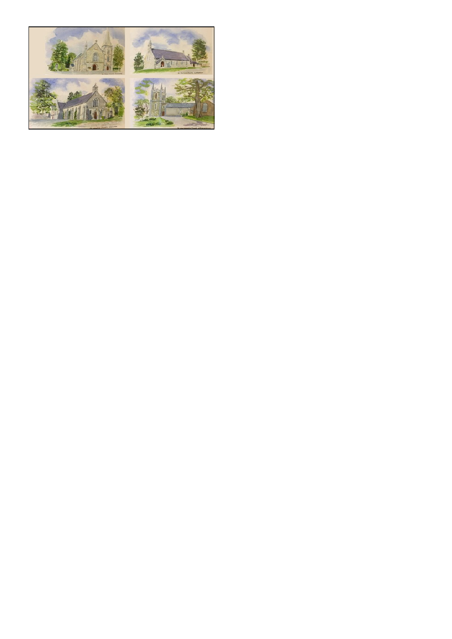